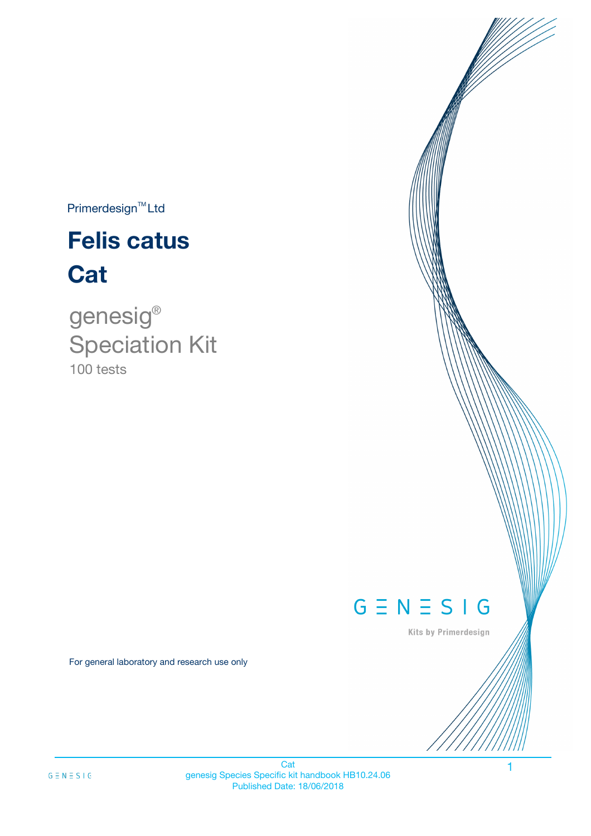$Primerdesign^{TM}$ Ltd

# **Felis catus Cat**

100 tests genesig ® Speciation Kit

# $G \equiv N \equiv S \mid G$

Kits by Primerdesign

1

For general laboratory and research use only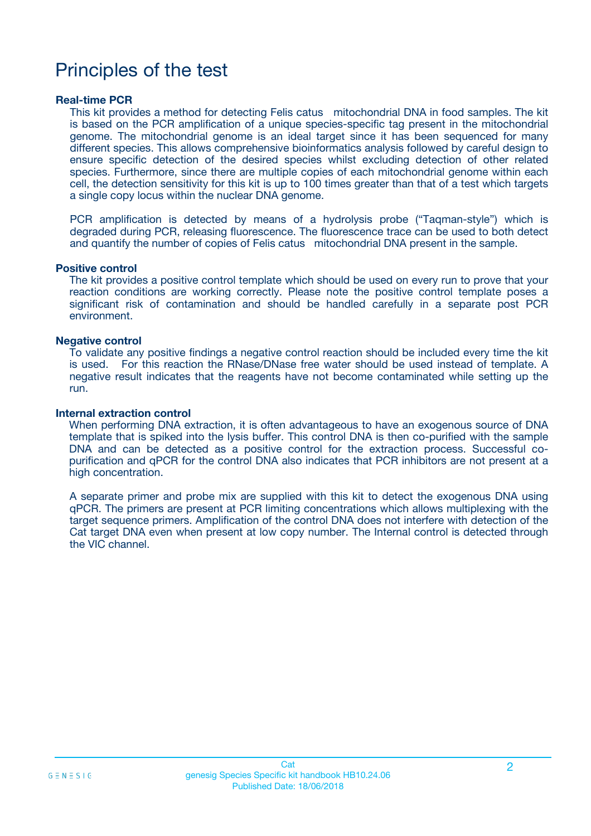# Principles of the test

### **Real-time PCR**

This kit provides a method for detecting Felis catus mitochondrial DNA in food samples. The kit is based on the PCR amplification of a unique species-specific tag present in the mitochondrial genome. The mitochondrial genome is an ideal target since it has been sequenced for many different species. This allows comprehensive bioinformatics analysis followed by careful design to ensure specific detection of the desired species whilst excluding detection of other related species. Furthermore, since there are multiple copies of each mitochondrial genome within each cell, the detection sensitivity for this kit is up to 100 times greater than that of a test which targets a single copy locus within the nuclear DNA genome.

PCR amplification is detected by means of a hydrolysis probe ("Taqman-style") which is degraded during PCR, releasing fluorescence. The fluorescence trace can be used to both detect and quantify the number of copies of Felis catus mitochondrial DNA present in the sample.

### **Positive control**

The kit provides a positive control template which should be used on every run to prove that your reaction conditions are working correctly. Please note the positive control template poses a significant risk of contamination and should be handled carefully in a separate post PCR environment.

### **Negative control**

To validate any positive findings a negative control reaction should be included every time the kit is used. For this reaction the RNase/DNase free water should be used instead of template. A negative result indicates that the reagents have not become contaminated while setting up the run.

#### **Internal extraction control**

When performing DNA extraction, it is often advantageous to have an exogenous source of DNA template that is spiked into the lysis buffer. This control DNA is then co-purified with the sample DNA and can be detected as a positive control for the extraction process. Successful copurification and qPCR for the control DNA also indicates that PCR inhibitors are not present at a high concentration.

A separate primer and probe mix are supplied with this kit to detect the exogenous DNA using qPCR. The primers are present at PCR limiting concentrations which allows multiplexing with the target sequence primers. Amplification of the control DNA does not interfere with detection of the Cat target DNA even when present at low copy number. The Internal control is detected through the VIC channel.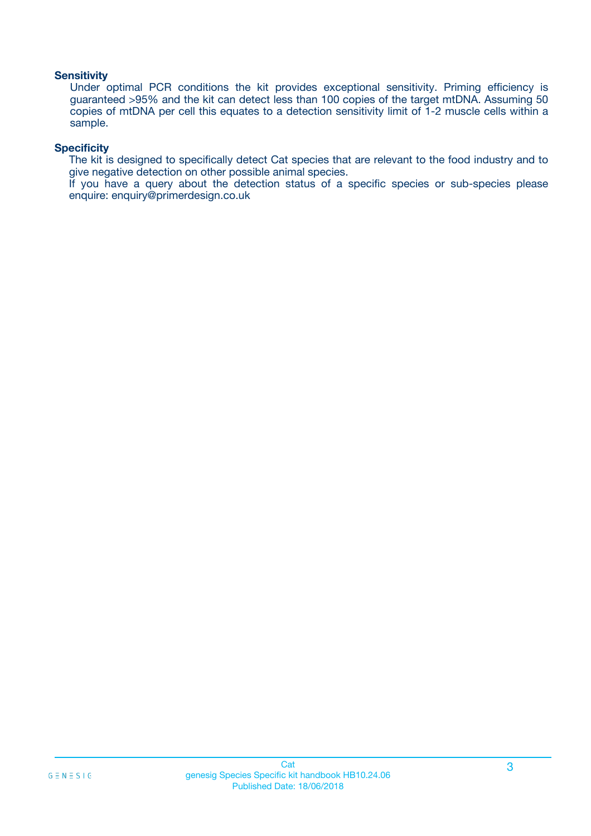### **Sensitivity**

Under optimal PCR conditions the kit provides exceptional sensitivity. Priming efficiency is guaranteed >95% and the kit can detect less than 100 copies of the target mtDNA. Assuming 50 copies of mtDNA per cell this equates to a detection sensitivity limit of 1-2 muscle cells within a sample.

### **Specificity**

The kit is designed to specifically detect Cat species that are relevant to the food industry and to give negative detection on other possible animal species.

If you have a query about the detection status of a specific species or sub-species please enquire: enquiry@primerdesign.co.uk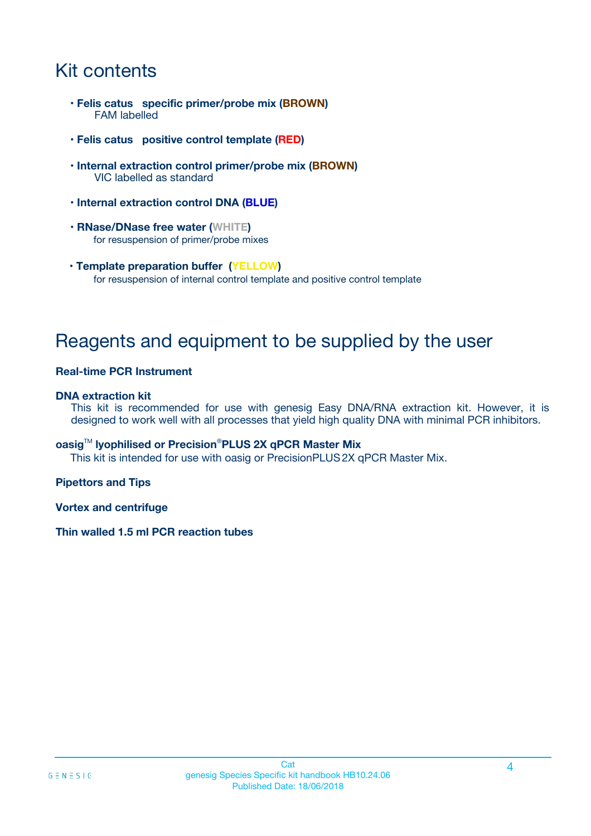# Kit contents

- **Felis catus specific primer/probe mix (BROWN)** FAM labelled
- **Felis catus positive control template (RED)**
- **Internal extraction control primer/probe mix (BROWN)** VIC labelled as standard
- **Internal extraction control DNA (BLUE)**
- **RNase/DNase free water (WHITE)** for resuspension of primer/probe mixes
- **Template preparation buffer (YELLOW)** for resuspension of internal control template and positive control template

# Reagents and equipment to be supplied by the user

### **Real-time PCR Instrument**

### **DNA extraction kit**

This kit is recommended for use with genesig Easy DNA/RNA extraction kit. However, it is designed to work well with all processes that yield high quality DNA with minimal PCR inhibitors.

### **oasig**TM **lyophilised or Precision**®**PLUS 2X qPCR Master Mix**

This kit is intended for use with oasig or PrecisionPLUS2X qPCR Master Mix.

### **Pipettors and Tips**

**Vortex and centrifuge**

### **Thin walled 1.5 ml PCR reaction tubes**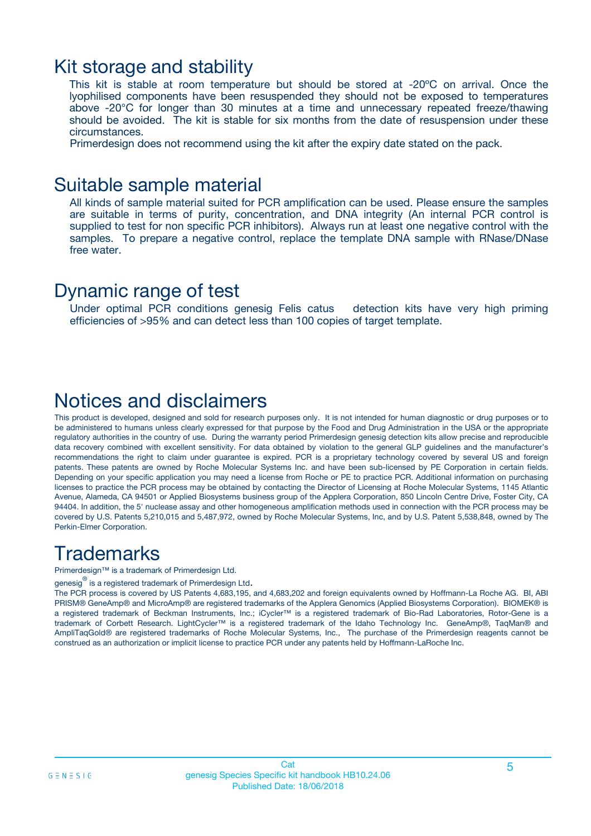### Kit storage and stability

This kit is stable at room temperature but should be stored at -20ºC on arrival. Once the lyophilised components have been resuspended they should not be exposed to temperatures above -20°C for longer than 30 minutes at a time and unnecessary repeated freeze/thawing should be avoided. The kit is stable for six months from the date of resuspension under these circumstances.

Primerdesign does not recommend using the kit after the expiry date stated on the pack.

### Suitable sample material

All kinds of sample material suited for PCR amplification can be used. Please ensure the samples are suitable in terms of purity, concentration, and DNA integrity (An internal PCR control is supplied to test for non specific PCR inhibitors). Always run at least one negative control with the samples. To prepare a negative control, replace the template DNA sample with RNase/DNase free water.

### Dynamic range of test

Under optimal PCR conditions genesig Felis catus detection kits have very high priming efficiencies of >95% and can detect less than 100 copies of target template.

## Notices and disclaimers

This product is developed, designed and sold for research purposes only. It is not intended for human diagnostic or drug purposes or to be administered to humans unless clearly expressed for that purpose by the Food and Drug Administration in the USA or the appropriate regulatory authorities in the country of use. During the warranty period Primerdesign genesig detection kits allow precise and reproducible data recovery combined with excellent sensitivity. For data obtained by violation to the general GLP guidelines and the manufacturer's recommendations the right to claim under guarantee is expired. PCR is a proprietary technology covered by several US and foreign patents. These patents are owned by Roche Molecular Systems Inc. and have been sub-licensed by PE Corporation in certain fields. Depending on your specific application you may need a license from Roche or PE to practice PCR. Additional information on purchasing licenses to practice the PCR process may be obtained by contacting the Director of Licensing at Roche Molecular Systems, 1145 Atlantic Avenue, Alameda, CA 94501 or Applied Biosystems business group of the Applera Corporation, 850 Lincoln Centre Drive, Foster City, CA 94404. In addition, the 5' nuclease assay and other homogeneous amplification methods used in connection with the PCR process may be covered by U.S. Patents 5,210,015 and 5,487,972, owned by Roche Molecular Systems, Inc, and by U.S. Patent 5,538,848, owned by The Perkin-Elmer Corporation.

# **Trademarks**

Primerdesign™ is a trademark of Primerdesign Ltd.

genesig $^\circledR$  is a registered trademark of Primerdesign Ltd.

The PCR process is covered by US Patents 4,683,195, and 4,683,202 and foreign equivalents owned by Hoffmann-La Roche AG. BI, ABI PRISM® GeneAmp® and MicroAmp® are registered trademarks of the Applera Genomics (Applied Biosystems Corporation). BIOMEK® is a registered trademark of Beckman Instruments, Inc.; iCycler™ is a registered trademark of Bio-Rad Laboratories, Rotor-Gene is a trademark of Corbett Research. LightCycler™ is a registered trademark of the Idaho Technology Inc. GeneAmp®, TaqMan® and AmpliTaqGold® are registered trademarks of Roche Molecular Systems, Inc., The purchase of the Primerdesign reagents cannot be construed as an authorization or implicit license to practice PCR under any patents held by Hoffmann-LaRoche Inc.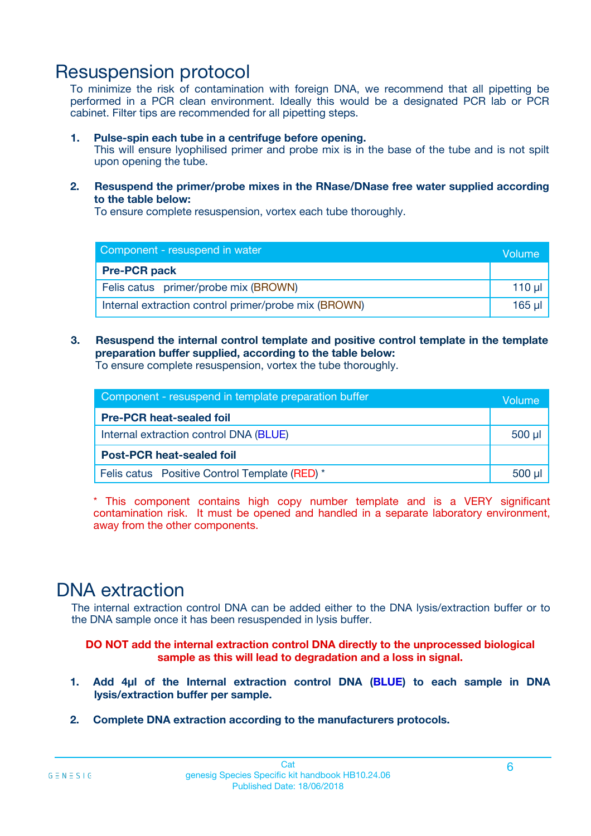# Resuspension protocol

To minimize the risk of contamination with foreign DNA, we recommend that all pipetting be performed in a PCR clean environment. Ideally this would be a designated PCR lab or PCR cabinet. Filter tips are recommended for all pipetting steps.

### **1. Pulse-spin each tube in a centrifuge before opening.**

This will ensure lyophilised primer and probe mix is in the base of the tube and is not spilt upon opening the tube.

**2. Resuspend the primer/probe mixes in the RNase/DNase free water supplied according to the table below:**

To ensure complete resuspension, vortex each tube thoroughly.

| Component - resuspend in water                       |         |  |
|------------------------------------------------------|---------|--|
| <b>Pre-PCR pack</b>                                  |         |  |
| Felis catus primer/probe mix (BROWN)                 | $110$ µ |  |
| Internal extraction control primer/probe mix (BROWN) |         |  |

### **3. Resuspend the internal control template and positive control template in the template preparation buffer supplied, according to the table below:**

To ensure complete resuspension, vortex the tube thoroughly.

| Component - resuspend in template preparation buffer |        |  |
|------------------------------------------------------|--------|--|
| <b>Pre-PCR heat-sealed foil</b>                      |        |  |
| Internal extraction control DNA (BLUE)               |        |  |
| <b>Post-PCR heat-sealed foil</b>                     |        |  |
| Felis catus Positive Control Template (RED) *        | 500 µl |  |

\* This component contains high copy number template and is a VERY significant contamination risk. It must be opened and handled in a separate laboratory environment, away from the other components.

# DNA extraction

The internal extraction control DNA can be added either to the DNA lysis/extraction buffer or to the DNA sample once it has been resuspended in lysis buffer.

**DO NOT add the internal extraction control DNA directly to the unprocessed biological sample as this will lead to degradation and a loss in signal.**

- **1. Add 4µl of the Internal extraction control DNA (BLUE) to each sample in DNA lysis/extraction buffer per sample.**
- **2. Complete DNA extraction according to the manufacturers protocols.**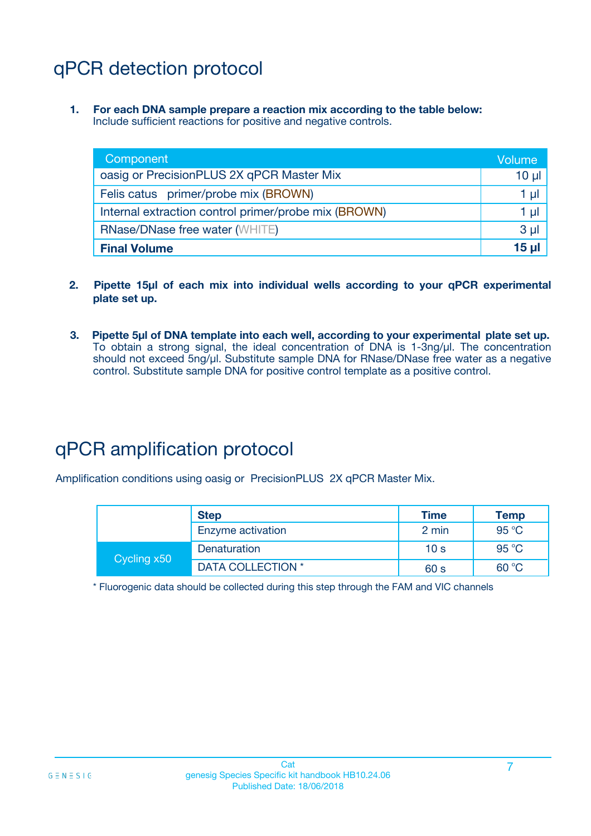# qPCR detection protocol

**1. For each DNA sample prepare a reaction mix according to the table below:** Include sufficient reactions for positive and negative controls.

| Component                                            |                  |  |  |
|------------------------------------------------------|------------------|--|--|
| oasig or PrecisionPLUS 2X qPCR Master Mix            |                  |  |  |
| Felis catus primer/probe mix (BROWN)                 | 1 µl             |  |  |
| Internal extraction control primer/probe mix (BROWN) | 1 µl             |  |  |
| <b>RNase/DNase free water (WHITE)</b>                | 3 <sub>µ</sub>   |  |  |
| <b>Final Volume</b>                                  | 15 <sub>ul</sub> |  |  |

- **2. Pipette 15µl of each mix into individual wells according to your qPCR experimental plate set up.**
- **3. Pipette 5µl of DNA template into each well, according to your experimental plate set up.** To obtain a strong signal, the ideal concentration of DNA is 1-3ng/µl. The concentration should not exceed 5ng/µl. Substitute sample DNA for RNase/DNase free water as a negative control. Substitute sample DNA for positive control template as a positive control.

# qPCR amplification protocol

Amplification conditions using oasig or PrecisionPLUS 2X qPCR Master Mix.

|             | <b>Step</b>       | <b>Time</b>     | Temp           |
|-------------|-------------------|-----------------|----------------|
|             | Enzyme activation | 2 min           | 95 °C          |
| Cycling x50 | Denaturation      | 10 <sub>s</sub> | $95^{\circ}$ C |
|             | DATA COLLECTION * | 60 s            | 60 °C          |

\* Fluorogenic data should be collected during this step through the FAM and VIC channels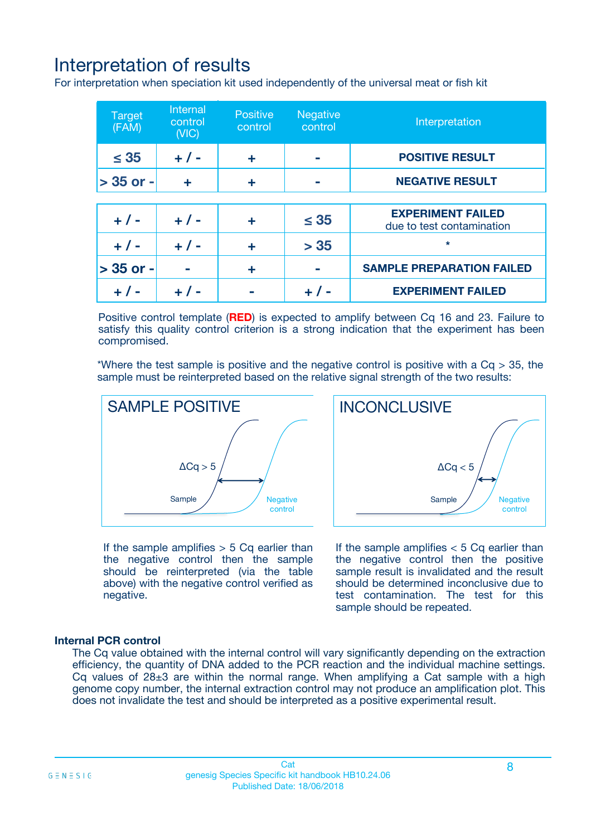# Interpretation of results

For interpretation when speciation kit used independently of the universal meat or fish kit

| <b>Target</b><br>(FAM) | <b>Internal</b><br>control<br>(VIC) | <b>Positive</b><br>control | Negative<br>control | Interpretation                                        |
|------------------------|-------------------------------------|----------------------------|---------------------|-------------------------------------------------------|
| $\leq 35$              | $+ 1 -$                             | ÷                          |                     | <b>POSITIVE RESULT</b>                                |
| $> 35$ or -            | ÷                                   | ÷                          |                     | <b>NEGATIVE RESULT</b>                                |
|                        |                                     |                            |                     |                                                       |
| $+ 1 -$                | $+ 1 -$                             | ÷                          | $\leq 35$           | <b>EXPERIMENT FAILED</b><br>due to test contamination |
| $+ 1 -$                | $+ 1 -$                             | ٠                          | > 35                | $\star$                                               |
| $> 35$ or -            |                                     | ÷                          |                     | <b>SAMPLE PREPARATION FAILED</b>                      |
|                        |                                     |                            |                     | <b>EXPERIMENT FAILED</b>                              |

Positive control template (**RED**) is expected to amplify between Cq 16 and 23. Failure to satisfy this quality control criterion is a strong indication that the experiment has been compromised.

\*Where the test sample is positive and the negative control is positive with a  $Ca > 35$ , the sample must be reinterpreted based on the relative signal strength of the two results:



If the sample amplifies  $> 5$  Cq earlier than the negative control then the sample should be reinterpreted (via the table above) with the negative control verified as negative.

Sample  $/$  / Negative control  $\Delta$ Ca < 5 **INCONCLUSIVE** 

If the sample amplifies  $< 5$  Cq earlier than the negative control then the positive sample result is invalidated and the result should be determined inconclusive due to test contamination. The test for this sample should be repeated.

### **Internal PCR control**

The Cq value obtained with the internal control will vary significantly depending on the extraction efficiency, the quantity of DNA added to the PCR reaction and the individual machine settings. Cq values of  $28\pm3$  are within the normal range. When amplifying a Cat sample with a high genome copy number, the internal extraction control may not produce an amplification plot. This does not invalidate the test and should be interpreted as a positive experimental result.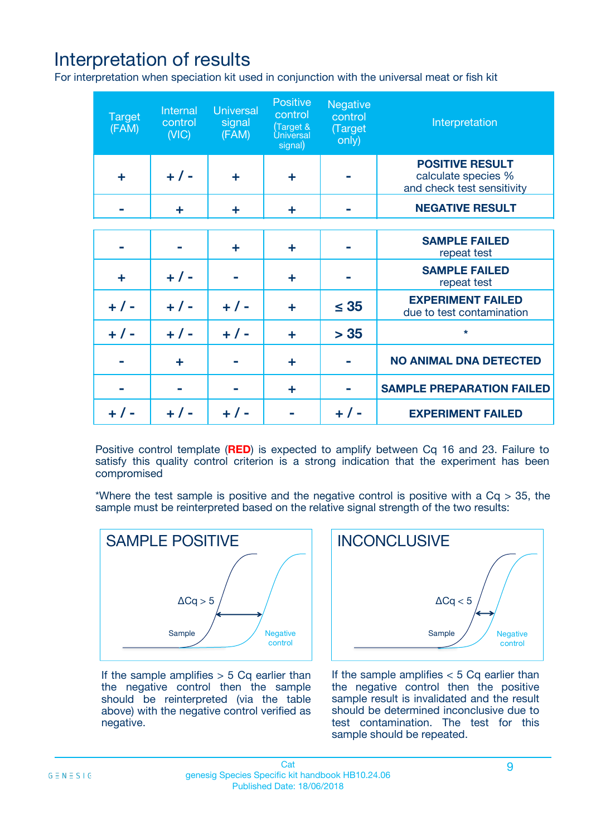# Interpretation of results

For interpretation when speciation kit used in conjunction with the universal meat or fish kit

| <b>Target</b><br>(FAM) | Internal<br>control<br>(NIC) | <b>Universal</b><br>signal<br>(FAM) | Positive<br>control<br>(Target &<br><b>Universal</b><br>signal) | <b>Negative</b><br>control<br>(Target<br>only) | Interpretation                                                              |
|------------------------|------------------------------|-------------------------------------|-----------------------------------------------------------------|------------------------------------------------|-----------------------------------------------------------------------------|
| ÷                      | $+$ / -                      | ÷                                   | ÷                                                               |                                                | <b>POSITIVE RESULT</b><br>calculate species %<br>and check test sensitivity |
|                        | ٠                            | ÷                                   | ÷                                                               |                                                | <b>NEGATIVE RESULT</b>                                                      |
|                        |                              |                                     |                                                                 |                                                |                                                                             |
|                        |                              | ÷                                   | ÷                                                               |                                                | <b>SAMPLE FAILED</b><br>repeat test                                         |
| ÷                      | $+ 1 -$                      |                                     | ÷                                                               |                                                | <b>SAMPLE FAILED</b><br>repeat test                                         |
| $+/-$                  | $+$ / -                      | $+/-$                               | ÷                                                               | $\leq 35$                                      | <b>EXPERIMENT FAILED</b><br>due to test contamination                       |
| $+ 1 -$                | $+$ / -                      | $+ 1 -$                             | ÷                                                               | > 35                                           | $\star$                                                                     |
|                        | ÷                            |                                     | ÷                                                               |                                                | <b>NO ANIMAL DNA DETECTED</b>                                               |
|                        |                              |                                     | ÷                                                               |                                                | <b>SAMPLE PREPARATION FAILED</b>                                            |
| $+  / -$               | $+ 1 -$                      |                                     |                                                                 |                                                | <b>EXPERIMENT FAILED</b>                                                    |

Positive control template (**RED**) is expected to amplify between Cq 16 and 23. Failure to satisfy this quality control criterion is a strong indication that the experiment has been compromised

\*Where the test sample is positive and the negative control is positive with a  $Cq > 35$ , the sample must be reinterpreted based on the relative signal strength of the two results:



If the sample amplifies  $> 5$  Cq earlier than the negative control then the sample should be reinterpreted (via the table above) with the negative control verified as negative.



If the sample amplifies  $< 5$  Cq earlier than the negative control then the positive sample result is invalidated and the result should be determined inconclusive due to test contamination. The test for this sample should be repeated.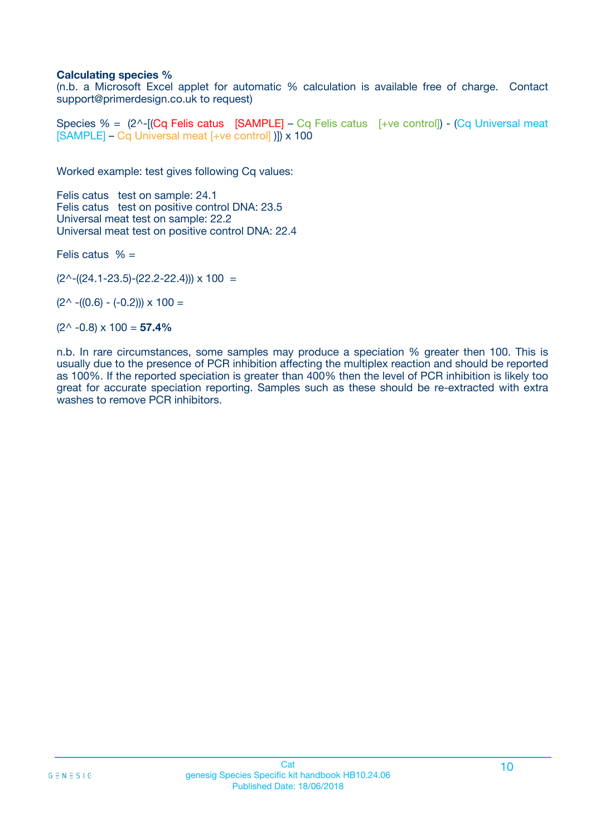### **Calculating species %**

(n.b. a Microsoft Excel applet for automatic % calculation is available free of charge. Contact support@primerdesign.co.uk to request)

Species % =  $(2^{\wedge} - [(Cq)$  Felis catus  $[SAMPLE] - Cq$  Felis catus  $[+ve \text{ control}] - (Cq \text{ Universal meat})$ [SAMPLE] – Cq Universal meat [+ve control] )]) x 100

Worked example: test gives following Cq values:

Felis catus test on sample: 24.1 Felis catus test on positive control DNA: 23.5 Universal meat test on sample: 22.2 Universal meat test on positive control DNA: 22.4

Felis catus  $% =$ 

 $(2^{\wedge}-(24.1-23.5)-(22.2-22.4))) \times 100 =$ 

 $(2^{\wedge}$  -((0.6) - (-0.2)))  $\times$  100 =

(2^ -0.8) x 100 = **57.4%**

n.b. In rare circumstances, some samples may produce a speciation % greater then 100. This is usually due to the presence of PCR inhibition affecting the multiplex reaction and should be reported as 100%. If the reported speciation is greater than 400% then the level of PCR inhibition is likely too great for accurate speciation reporting. Samples such as these should be re-extracted with extra washes to remove PCR inhibitors.